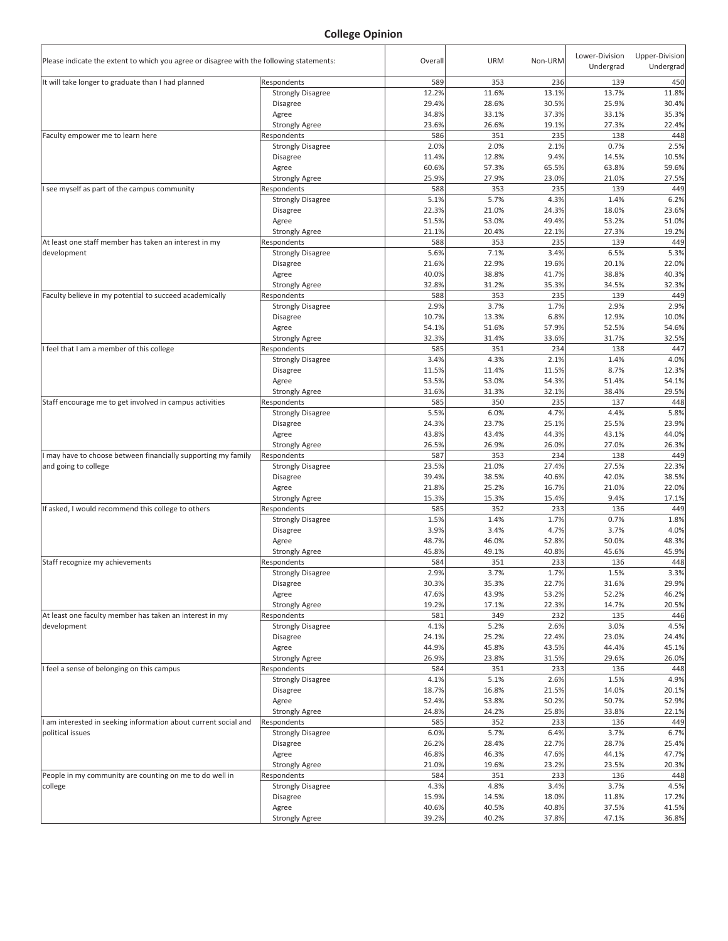



## **Diverse Learning Environments Survey Fall 2015**

Allan Taing, Research Analyst Claudia Alvarado, Graduate Research Assistant CSUSB Office of Institutional Research March 2016